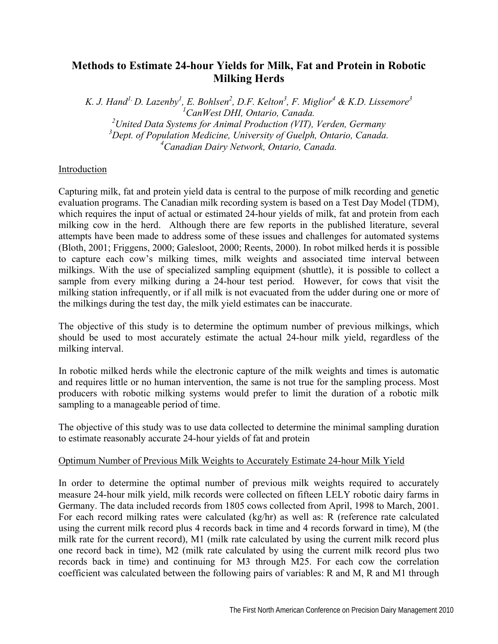# **Methods to Estimate 24-hour Yields for Milk, Fat and Protein in Robotic Milking Herds**

*K. J. Hand<sup>1,</sup> D. Lazenby<sup>1</sup>, E. Bohlsen<sup>2</sup>, D.F. Kelton<sup>3</sup>, F. Miglior<sup>4</sup> & K.D. Lissemore<sup>3</sup> CanWest DHI, Ontario, Canada. United Data Systems for Animal Production (VIT), Verden, Germany Dept. of Population Medicine, University of Guelph, Ontario, Canada. Canadian Dairy Network, Ontario, Canada.* 

## Introduction

Capturing milk, fat and protein yield data is central to the purpose of milk recording and genetic evaluation programs. The Canadian milk recording system is based on a Test Day Model (TDM), which requires the input of actual or estimated 24-hour yields of milk, fat and protein from each milking cow in the herd. Although there are few reports in the published literature, several attempts have been made to address some of these issues and challenges for automated systems (Bloth, 2001; Friggens, 2000; Galesloot, 2000; Reents, 2000). In robot milked herds it is possible to capture each cow's milking times, milk weights and associated time interval between milkings. With the use of specialized sampling equipment (shuttle), it is possible to collect a sample from every milking during a 24-hour test period. However, for cows that visit the milking station infrequently, or if all milk is not evacuated from the udder during one or more of the milkings during the test day, the milk yield estimates can be inaccurate.

The objective of this study is to determine the optimum number of previous milkings, which should be used to most accurately estimate the actual 24-hour milk yield, regardless of the milking interval.

In robotic milked herds while the electronic capture of the milk weights and times is automatic and requires little or no human intervention, the same is not true for the sampling process. Most producers with robotic milking systems would prefer to limit the duration of a robotic milk sampling to a manageable period of time.

The objective of this study was to use data collected to determine the minimal sampling duration to estimate reasonably accurate 24-hour yields of fat and protein

### Optimum Number of Previous Milk Weights to Accurately Estimate 24-hour Milk Yield

In order to determine the optimal number of previous milk weights required to accurately measure 24-hour milk yield, milk records were collected on fifteen LELY robotic dairy farms in Germany. The data included records from 1805 cows collected from April, 1998 to March, 2001. For each record milking rates were calculated (kg/hr) as well as: R (reference rate calculated using the current milk record plus 4 records back in time and 4 records forward in time), M (the milk rate for the current record), M1 (milk rate calculated by using the current milk record plus one record back in time), M2 (milk rate calculated by using the current milk record plus two records back in time) and continuing for M3 through M25. For each cow the correlation coefficient was calculated between the following pairs of variables: R and M, R and M1 through